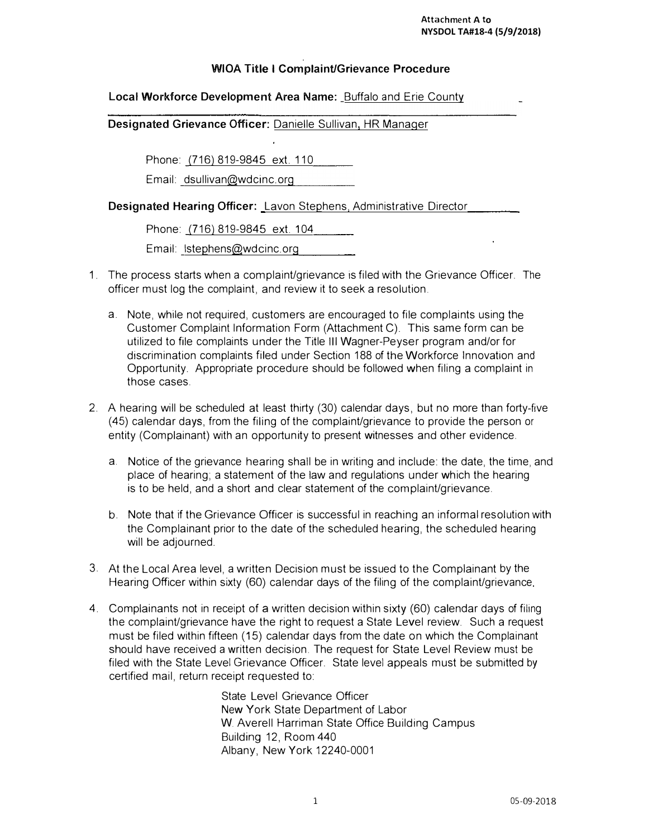$\ddot{\phantom{a}}$ 

## **WIOA Title I Complaint/Grievance Procedure**

## **Local Workforce Development Area Name:** Buffalo and Erie County

**Designated Grievance Officer:** Danielle Sullivan, HR Manager

Phone: (716) 819-9845 ext. 110

Email: dsullivan@wdcinc.org

**Designated Hearing Officer:** Lavon Stephens, Administrative Director

Phone: (716) 819-9845 ext. 104

Email: lstephens@wdcinc.org

- 1. The process starts when a complaint/grievance is filed with the Grievance Officer. The officer must log the complaint, and review it to seek a resolution.
	- a. Note, while not required, customers are encouraged to file complaints using the Customer Complaint Information Form (Attachment C). This same form can be utilized to file complaints under the Title Ill Wagner-Peyser program and/or for discrimination complaints filed under Section 188 of the Workforce Innovation and Opportunity. Appropriate procedure should be followed when filing a complaint in those cases.
- 2. A hearing will be scheduled at least thirty (30) calendar days, but no more than forty-five (45) calendar days, from the filing of the complaint/grievance to provide the person or entity (Complainant) with an opportunity to present witnesses and other evidence.
	- a. Notice of the grievance hearing shall be in writing and include: the date, the time, and place of hearing; a statement of the law and regulations under which the hearing is to be held, and a short and clear statement of the complaint/grievance.
	- b. Note that if the Grievance Officer is successful in reaching an informal resolution with the Complainant prior to the date of the scheduled hearing, the scheduled hearing will be adjourned.
- 3. At the Local Area level, a written Decision must be issued to the Complainant by the Hearing Officer within sixty (60) calendar days of the filing of the complaint/grievance
- 4. Complainants not in receipt of a written decision within sixty (60) calendar days of filing the complaint/grievance have the right to request a State Level review. Such a request must be filed within fifteen (15) calendar days from the date on which the Complainant should have received a written decision. The request for State Level Review must be filed with the State Level Grievance Officer. State level appeals must be submitted by certified mail, return receipt requested to:

State Level Grievance Officer New York State Department of Labor W. Averell Harriman State Office Building Campus Building 12, Room 440 Albany, New York 12240-0001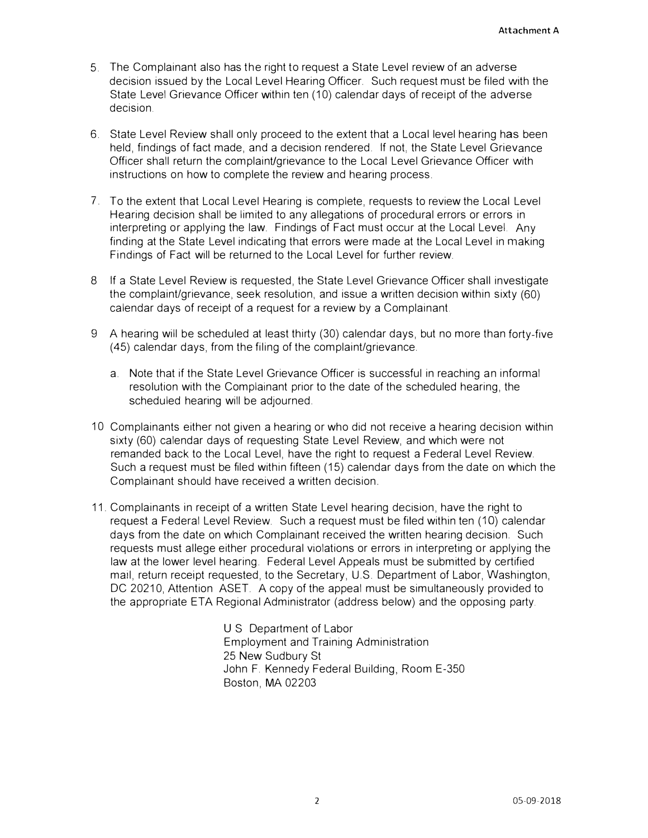- 5. The Complainant also has the right to request a State Level review of an adverse decision issued by the Local Level Hearing Officer. Such request must be filed with the State Level Grievance Officer within ten (10) calendar days of receipt of the adverse decision.
- 6. State Level Review shall only proceed to the extent that a Local level hearing has been held, findings of fact made, and a decision rendered. If not, the State Level Grievance Officer shall return the complainUgrievance to the Local Level Grievance Officer with instructions on how to complete the review and hearing process.
- 7. To the extent that Local Level Hearing is complete, requests to review the Local Level Hearing decision shall be limited to any allegations of procedural errors or errors in interpreting or applying the law. Findings of Fact must occur at the Local Level Any finding at the State Level indicating that errors were made at the Local Level in making Findings of Fact will be returned to the Local Level for further review.
- 8 If a State Level Review is requested, the State Level Grievance Officer shall investigate the complaint/grievance, seek resolution, and issue a written decision within sixty (60) calendar days of receipt of a request for a review by a Complainant
- 9 A hearing will be scheduled at least thirty (30) calendar days, but no more than forty-five (45) calendar days, from the filing of the complaint/grievance.
	- a. Note that if the State Level Grievance Officer is successful in reaching an informal resolution with the Complainant prior to the date of the scheduled hearing, the scheduled hearing will be adjourned.
- 10 Complainants either not given a hearing or who did not receive a hearing decision within sixty (60) calendar days of requesting State Level Review, and which were not remanded back to the Local Level, have the right to request a Federal Level Review. Such a request must be filed within fifteen (15) calendar days from the date on which the Complainant should have received a written decision.
- 11. Complainants in receipt of a written State Level hearing decision, have the right to request a Federal Level Review. Such a request must be filed within ten (10) calendar days from the date on which Complainant received the written hearing decision. Such requests must allege either procedural violations or errors in interpreting or applying the law at the lower level hearing. Federal Level Appeals must be submitted by certified mail, return receipt requested, to the Secretary, U.S. Department of Labor, Washington, DC 20210, Attention ASET. A copy of the appeal must be simultaneously provided to the appropriate ETA Regional Administrator (address below) and the opposing party.

U S Department of Labor Employment and Training Administration 25 New Sudbury St John F. Kennedy Federal Building, Room E-350 Boston, MA 02203